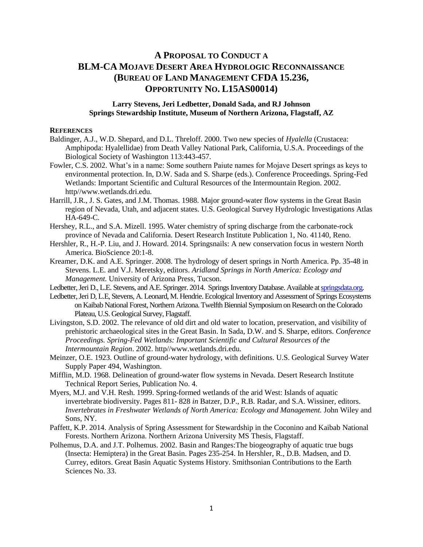## **A PROPOSAL TO CONDUCT A BLM-CA MOJAVE DESERT AREA HYDROLOGIC RECONNAISSANCE (BUREAU OF LAND MANAGEMENT CFDA 15.236, OPPORTUNITY NO. L15AS00014)**

## **Larry Stevens, Jeri Ledbetter, Donald Sada, and RJ Johnson Springs Stewardship Institute, Museum of Northern Arizona, Flagstaff, AZ**

## **REFERENCES**

- Baldinger, A.J., W.D. Shepard, and D.L. Threloff. 2000. Two new species of *Hyalella* (Crustacea: Amphipoda: Hyalellidae) from Death Valley National Park, California, U.S.A. Proceedings of the Biological Society of Washington 113:443-457.
- Fowler, C.S. 2002. What's in a name: Some southern Paiute names for Mojave Desert springs as keys to environmental protection. In, D.W. Sada and S. Sharpe (eds.). Conference Proceedings. Spring-Fed Wetlands: Important Scientific and Cultural Resources of the Intermountain Region. 2002. http//www.wetlands.dri.edu.
- Harrill, J.R., J. S. Gates, and J.M. Thomas. 1988. Major ground-water flow systems in the Great Basin region of Nevada, Utah, and adjacent states. U.S. Geological Survey Hydrologic Investigations Atlas HA-649-C.
- Hershey, R.L., and S.A. Mizell. 1995. Water chemistry of spring discharge from the carbonate-rock province of Nevada and California. Desert Research Institute Publication 1, No. 41140, Reno.
- Hershler, R., H.-P. Liu, and J. Howard. 2014. Springsnails: A new conservation focus in western North America. BioScience 20:1-8.
- Kreamer, D.K. and A.E. Springer. 2008. The hydrology of desert springs in North America. Pp. 35-48 in Stevens. L.E. and V.J. Meretsky, editors. *Aridland Springs in North America: Ecology and Management.* University of Arizona Press, Tucson.
- Ledbetter, Jeri D., L.E. Stevens, and A.E. Springer. 2014. Springs Inventory Database. Available a[t springsdata.org.](http://springsdata.org/)
- Ledbetter, Jeri D, L.E, Stevens, A. Leonard, M. Hendrie. Ecological Inventory and Assessment of Springs Ecosystems on Kaibab National Forest, Northern Arizona. Twelfth Biennial Symposium on Research on the Colorado Plateau, U.S. Geological Survey, Flagstaff.
- Livingston, S.D. 2002. The relevance of old dirt and old water to location, preservation, and visibility of prehistoric archaeological sites in the Great Basin. In Sada, D.W. and S. Sharpe, editors. *Conference Proceedings. Spring-Fed Wetlands: Important Scientific and Cultural Resources of the Intermountain Region*. 2002. http//www.wetlands.dri.edu.
- Meinzer, O.E. 1923. Outline of ground-water hydrology, with definitions. U.S. Geological Survey Water Supply Paper 494, Washington.
- Mifflin, M.D. 1968. Delineation of ground-water flow systems in Nevada. Desert Research Institute Technical Report Series, Publication No. 4.
- Myers, M.J. and V.H. Resh. 1999. Spring-formed wetlands of the arid West: Islands of aquatic invertebrate biodiversity. Pages 811- 828 *in* Batzer, D.P., R.B. Radar, and S.A. Wissiner, editors. *Invertebrates in Freshwater Wetlands of North America: Ecology and Management.* John Wiley and Sons, NY.
- Paffett, K.P. 2014. Analysis of Spring Assessment for Stewardship in the Coconino and Kaibab National Forests. Northern Arizona. Northern Arizona University MS Thesis, Flagstaff.
- Polhemus, D.A. and J.T. Polhemus. 2002. Basin and Ranges:The biogeography of aquatic true bugs (Insecta: Hemiptera) in the Great Basin. Pages 235-254. In Hershler, R., D.B. Madsen, and D. Currey, editors. Great Basin Aquatic Systems History. Smithsonian Contributions to the Earth Sciences No. 33.